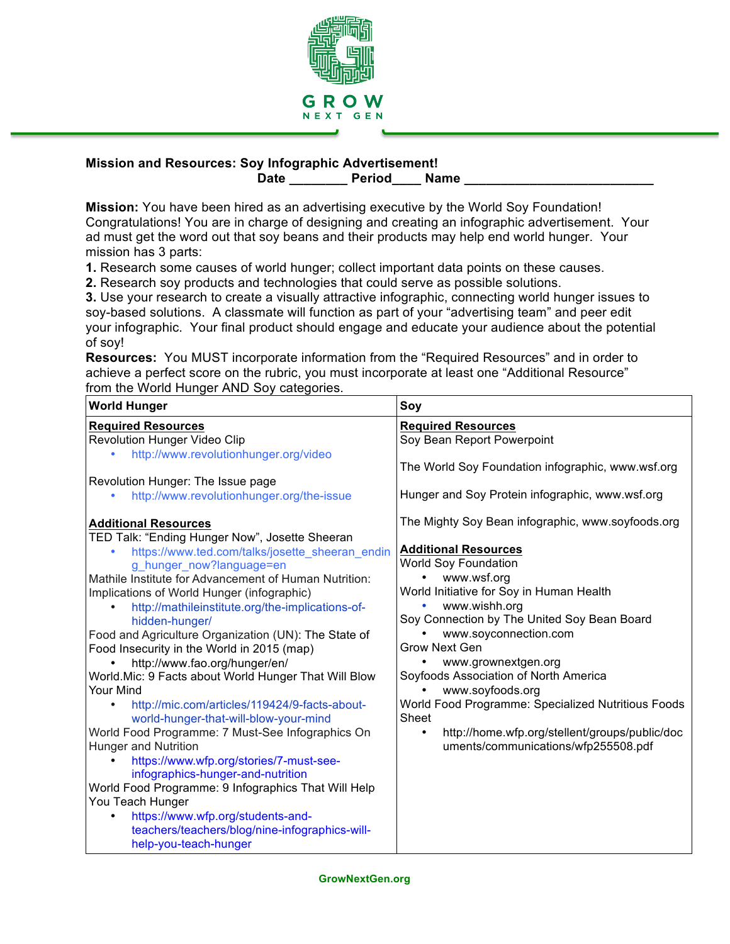

## **Mission and Resources: Soy Infographic Advertisement!** Date Period Name

**Mission:** You have been hired as an advertising executive by the World Soy Foundation! Congratulations! You are in charge of designing and creating an infographic advertisement. Your ad must get the word out that soy beans and their products may help end world hunger. Your mission has 3 parts:

**1.** Research some causes of world hunger; collect important data points on these causes.

**2.** Research soy products and technologies that could serve as possible solutions.

**3.** Use your research to create a visually attractive infographic, connecting world hunger issues to soy-based solutions. A classmate will function as part of your "advertising team" and peer edit your infographic. Your final product should engage and educate your audience about the potential of soy!

**Resources:** You MUST incorporate information from the "Required Resources" and in order to achieve a perfect score on the rubric, you must incorporate at least one "Additional Resource" from the World Hunger AND Soy categories.

| <b>World Hunger</b>                                                                                                                                                                                                                                                                                                                                                                                                                                                                                                                                                                                                                                                                                                                                                                                                                                                                                                                                                            | Soy                                                                                                                                                                                                                                                                                                                                                                                                                                                                                                                                           |
|--------------------------------------------------------------------------------------------------------------------------------------------------------------------------------------------------------------------------------------------------------------------------------------------------------------------------------------------------------------------------------------------------------------------------------------------------------------------------------------------------------------------------------------------------------------------------------------------------------------------------------------------------------------------------------------------------------------------------------------------------------------------------------------------------------------------------------------------------------------------------------------------------------------------------------------------------------------------------------|-----------------------------------------------------------------------------------------------------------------------------------------------------------------------------------------------------------------------------------------------------------------------------------------------------------------------------------------------------------------------------------------------------------------------------------------------------------------------------------------------------------------------------------------------|
| <b>Required Resources</b>                                                                                                                                                                                                                                                                                                                                                                                                                                                                                                                                                                                                                                                                                                                                                                                                                                                                                                                                                      | <b>Required Resources</b>                                                                                                                                                                                                                                                                                                                                                                                                                                                                                                                     |
| <b>Revolution Hunger Video Clip</b>                                                                                                                                                                                                                                                                                                                                                                                                                                                                                                                                                                                                                                                                                                                                                                                                                                                                                                                                            | Soy Bean Report Powerpoint                                                                                                                                                                                                                                                                                                                                                                                                                                                                                                                    |
| http://www.revolutionhunger.org/video                                                                                                                                                                                                                                                                                                                                                                                                                                                                                                                                                                                                                                                                                                                                                                                                                                                                                                                                          | The World Soy Foundation infographic, www.wsf.org                                                                                                                                                                                                                                                                                                                                                                                                                                                                                             |
| Revolution Hunger: The Issue page                                                                                                                                                                                                                                                                                                                                                                                                                                                                                                                                                                                                                                                                                                                                                                                                                                                                                                                                              |                                                                                                                                                                                                                                                                                                                                                                                                                                                                                                                                               |
| http://www.revolutionhunger.org/the-issue                                                                                                                                                                                                                                                                                                                                                                                                                                                                                                                                                                                                                                                                                                                                                                                                                                                                                                                                      | Hunger and Soy Protein infographic, www.wsf.org                                                                                                                                                                                                                                                                                                                                                                                                                                                                                               |
| <b>Additional Resources</b><br>TED Talk: "Ending Hunger Now", Josette Sheeran<br>https://www.ted.com/talks/josette_sheeran_endin<br>g_hunger_now?language=en<br>Mathile Institute for Advancement of Human Nutrition:<br>Implications of World Hunger (infographic)<br>http://mathileinstitute.org/the-implications-of-<br>hidden-hunger/<br>Food and Agriculture Organization (UN): The State of<br>Food Insecurity in the World in 2015 (map)<br>http://www.fao.org/hunger/en/<br>World. Mic: 9 Facts about World Hunger That Will Blow<br>Your Mind<br>http://mic.com/articles/119424/9-facts-about-<br>world-hunger-that-will-blow-your-mind<br>World Food Programme: 7 Must-See Infographics On<br>Hunger and Nutrition<br>https://www.wfp.org/stories/7-must-see-<br>infographics-hunger-and-nutrition<br>World Food Programme: 9 Infographics That Will Help<br>You Teach Hunger<br>https://www.wfp.org/students-and-<br>teachers/teachers/blog/nine-infographics-will- | The Mighty Soy Bean infographic, www.soyfoods.org<br><b>Additional Resources</b><br>World Soy Foundation<br>www.wsf.org<br>World Initiative for Soy in Human Health<br>www.wishh.org<br>Soy Connection by The United Soy Bean Board<br>www.soyconnection.com<br><b>Grow Next Gen</b><br>www.grownextgen.org<br>Soyfoods Association of North America<br>www.soyfoods.org<br>World Food Programme: Specialized Nutritious Foods<br>Sheet<br>http://home.wfp.org/stellent/groups/public/doc<br>$\bullet$<br>uments/communications/wfp255508.pdf |
| help-you-teach-hunger                                                                                                                                                                                                                                                                                                                                                                                                                                                                                                                                                                                                                                                                                                                                                                                                                                                                                                                                                          |                                                                                                                                                                                                                                                                                                                                                                                                                                                                                                                                               |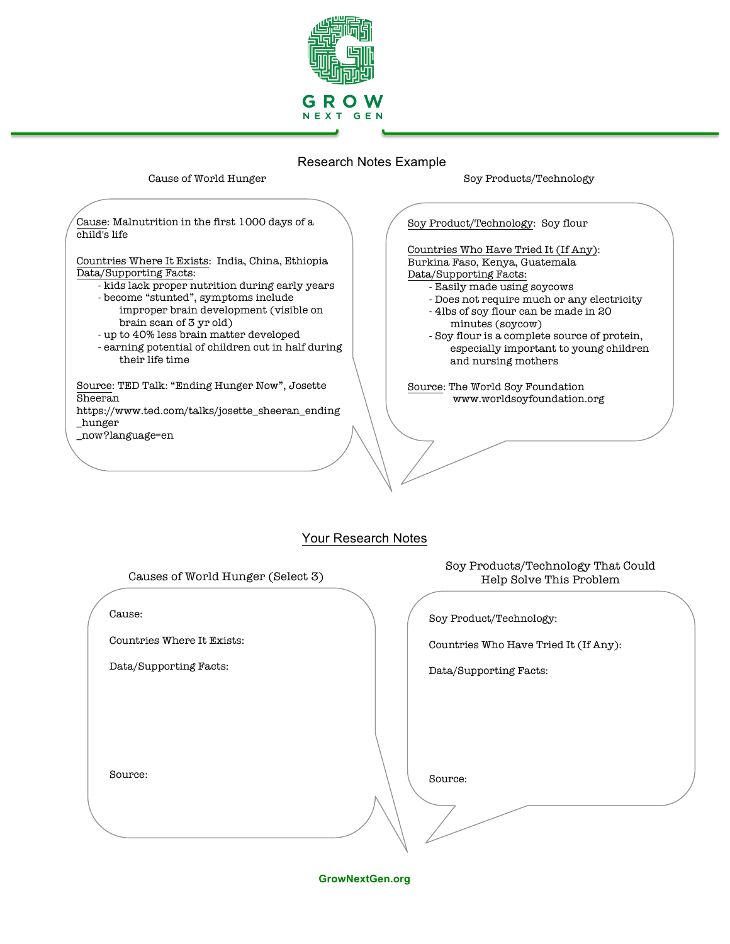

# Research Notes Example

### Cause of World Hunger

Soy Products/Technology

Cause: Malnutrition in the first 1000 days of a child's life

Countries Where It Exists: India, China, Ethiopia Data/Supporting Facts:

- kids lack proper nutrition during early years

- become "stunted", symptoms include improper brain development (visible on brain scan of 3 yr old)
- up to 40% less brain matter developed
- earning potential of children cut in half during their life time

Source: TED Talk: "Ending Hunger Now", Josette Sheeran https://www.ted.com/talks/josette\_sheeran\_ending

\_hunger \_now?language=en

Soy Product/Technology: Soy flour

Countries Who Have Tried It (If Any): Burkina Faso, Kenya, Guatemala Data/Supporting Facts:

- Easily made using soycows
- Does not require much or any electricity
- 4lbs of soy flour can be made in 20 minutes (soycow)
- Soy flour is a complete source of protein, especially important to young children and nursing mothers

Source: The World Soy Foundation www.worldsoyfoundation.org

## Your Research Notes

Causes of World Hunger (Select 3)

Cause:

Countries Where It Exists:

Data/Supporting Facts:

Soy Products/Technology That Could Help Solve This Problem

Soy Product/Technology:

Countries Who Have Tried It (If Any):

Data/Supporting Facts:

Source:

Source:

**GrowNextGen.org**